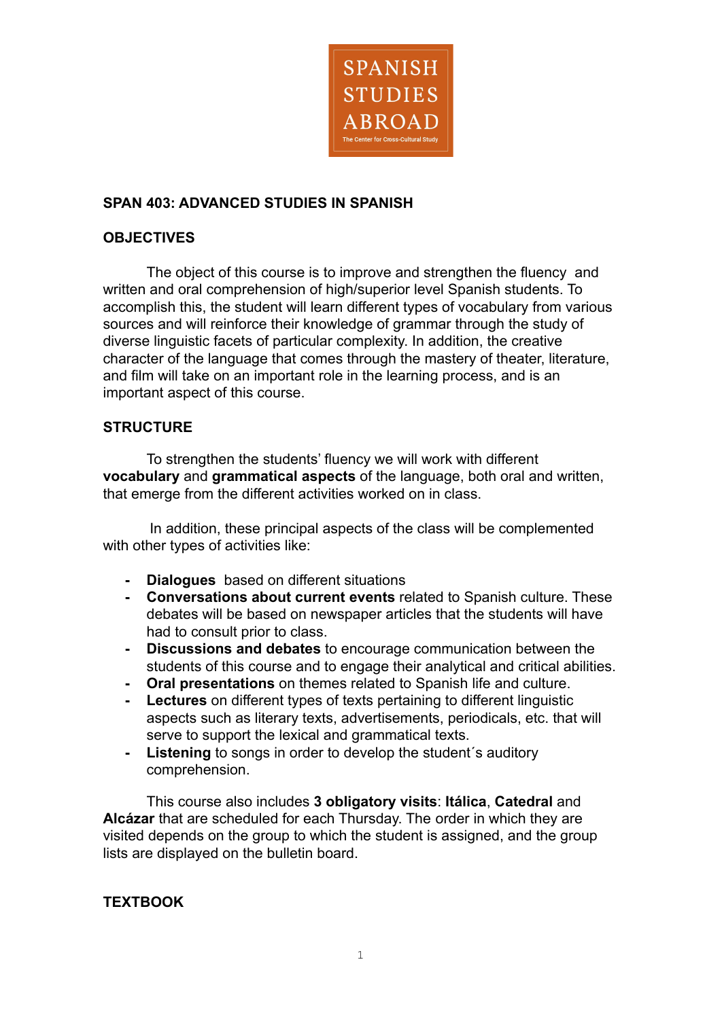

# **SPAN 403: ADVANCED STUDIES IN SPANISH**

### **OBJECTIVES**

The object of this course is to improve and strengthen the fluency and written and oral comprehension of high/superior level Spanish students. To accomplish this, the student will learn different types of vocabulary from various sources and will reinforce their knowledge of grammar through the study of diverse linguistic facets of particular complexity. In addition, the creative character of the language that comes through the mastery of theater, literature, and film will take on an important role in the learning process, and is an important aspect of this course.

## **STRUCTURE**

To strengthen the students' fluency we will work with different **vocabulary** and **grammatical aspects** of the language, both oral and written, that emerge from the different activities worked on in class.

In addition, these principal aspects of the class will be complemented with other types of activities like:

- **- Dialogues** based on different situations
- **- Conversations about current events** related to Spanish culture. These debates will be based on newspaper articles that the students will have had to consult prior to class.
- **- Discussions and debates** to encourage communication between the students of this course and to engage their analytical and critical abilities.
- **- Oral presentations** on themes related to Spanish life and culture.
- **- Lectures** on different types of texts pertaining to different linguistic aspects such as literary texts, advertisements, periodicals, etc. that will serve to support the lexical and grammatical texts.
- **- Listening** to songs in order to develop the student´s auditory comprehension.

This course also includes **3 obligatory visits**: **Itálica**, **Catedral** and **Alcázar** that are scheduled for each Thursday. The order in which they are visited depends on the group to which the student is assigned, and the group lists are displayed on the bulletin board.

#### **TEXTBOOK**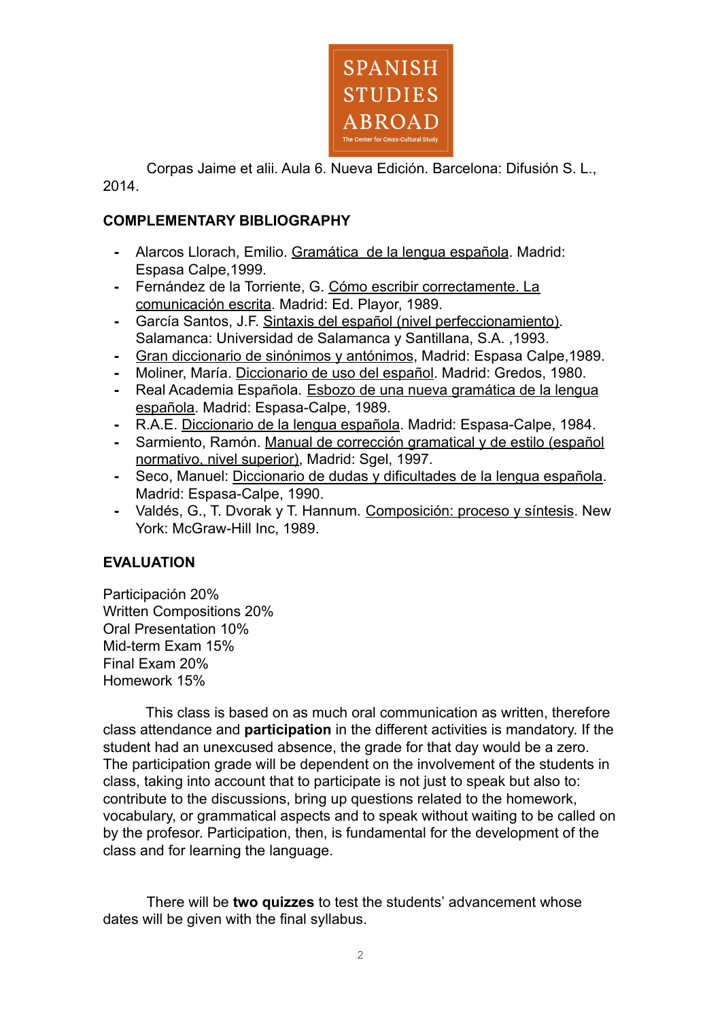

Corpas Jaime et alii. Aula 6. Nueva Edición. Barcelona: Difusión S. L., 2014.

# **COMPLEMENTARY BIBLIOGRAPHY**

- **-** Alarcos Llorach, Emilio. Gramática de la lengua española. Madrid: Espasa Calpe,1999.
- **-** Fernández de la Torriente, G. Cómo escribir correctamente. La comunicación escrita. Madrid: Ed. Playor, 1989.
- **-** García Santos, J.F. Sintaxis del español (nivel perfeccionamiento). Salamanca: Universidad de Salamanca y Santillana, S.A. ,1993.
- **-** Gran diccionario de sinónimos y antónimos, Madrid: Espasa Calpe,1989.
- **-** Moliner, María. Diccionario de uso del español. Madrid: Gredos, 1980.
- **-** Real Academia Española. Esbozo de una nueva gramática de la lengua española. Madrid: Espasa-Calpe, 1989.
- **-** R.A.E. Diccionario de la lengua española. Madrid: Espasa-Calpe, 1984.
- **-** Sarmiento, Ramón. Manual de corrección gramatical y de estilo (español normativo, nivel superior), Madrid: Sgel, 1997.
- **-** Seco, Manuel: Diccionario de dudas y dificultades de la lengua española. Madrid: Espasa-Calpe, 1990.
- **-** Valdés, G., T. Dvorak y T. Hannum. Composición: proceso y síntesis. New York: McGraw-Hill Inc, 1989.

#### **EVALUATION**

Participación 20% Written Compositions 20% Oral Presentation 10% Mid-term Exam 15% Final Exam 20% Homework 15%

This class is based on as much oral communication as written, therefore class attendance and **participation** in the different activities is mandatory. If the student had an unexcused absence, the grade for that day would be a zero. The participation grade will be dependent on the involvement of the students in class, taking into account that to participate is not just to speak but also to: contribute to the discussions, bring up questions related to the homework, vocabulary, or grammatical aspects and to speak without waiting to be called on by the profesor. Participation, then, is fundamental for the development of the class and for learning the language.

There will be **two quizzes** to test the students' advancement whose dates will be given with the final syllabus.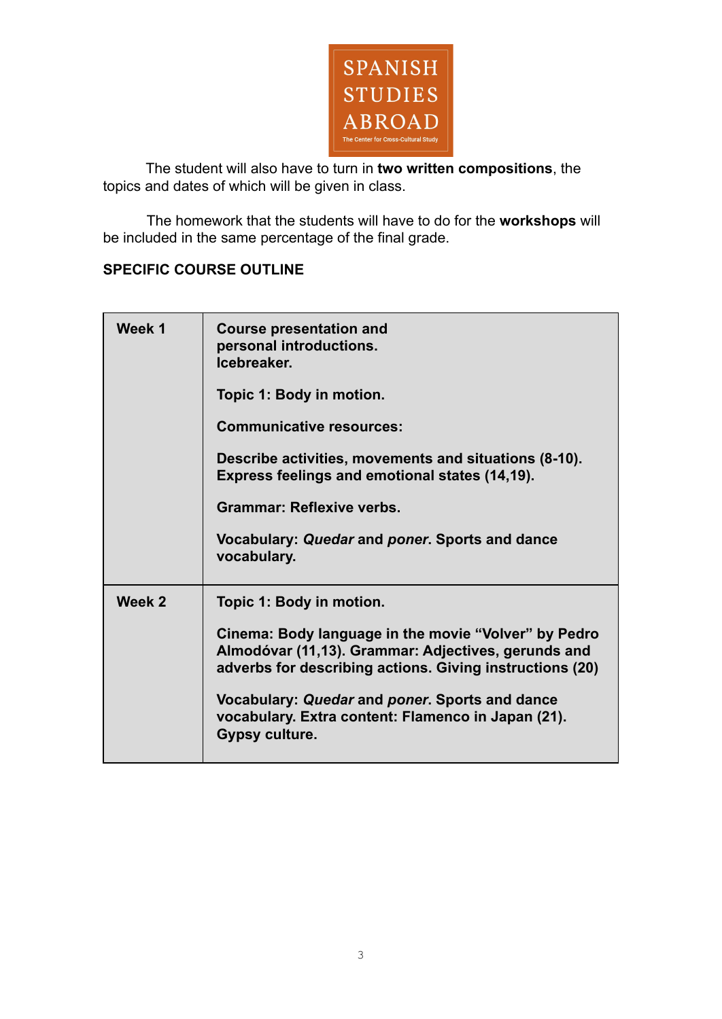

The student will also have to turn in **two written compositions**, the topics and dates of which will be given in class.

The homework that the students will have to do for the **workshops** will be included in the same percentage of the final grade.

# **SPECIFIC COURSE OUTLINE**

| Week 1 | <b>Course presentation and</b><br>personal introductions.<br>Icebreaker.                                                                                                |
|--------|-------------------------------------------------------------------------------------------------------------------------------------------------------------------------|
|        | Topic 1: Body in motion.                                                                                                                                                |
|        | <b>Communicative resources:</b>                                                                                                                                         |
|        | Describe activities, movements and situations (8-10).<br>Express feelings and emotional states (14,19).                                                                 |
|        | <b>Grammar: Reflexive verbs.</b>                                                                                                                                        |
|        | Vocabulary: Quedar and poner. Sports and dance<br>vocabulary.                                                                                                           |
| Week 2 | Topic 1: Body in motion.                                                                                                                                                |
|        | Cinema: Body language in the movie "Volver" by Pedro<br>Almodóvar (11,13). Grammar: Adjectives, gerunds and<br>adverbs for describing actions. Giving instructions (20) |
|        | Vocabulary: Quedar and poner. Sports and dance<br>vocabulary. Extra content: Flamenco in Japan (21).<br>Gypsy culture.                                                  |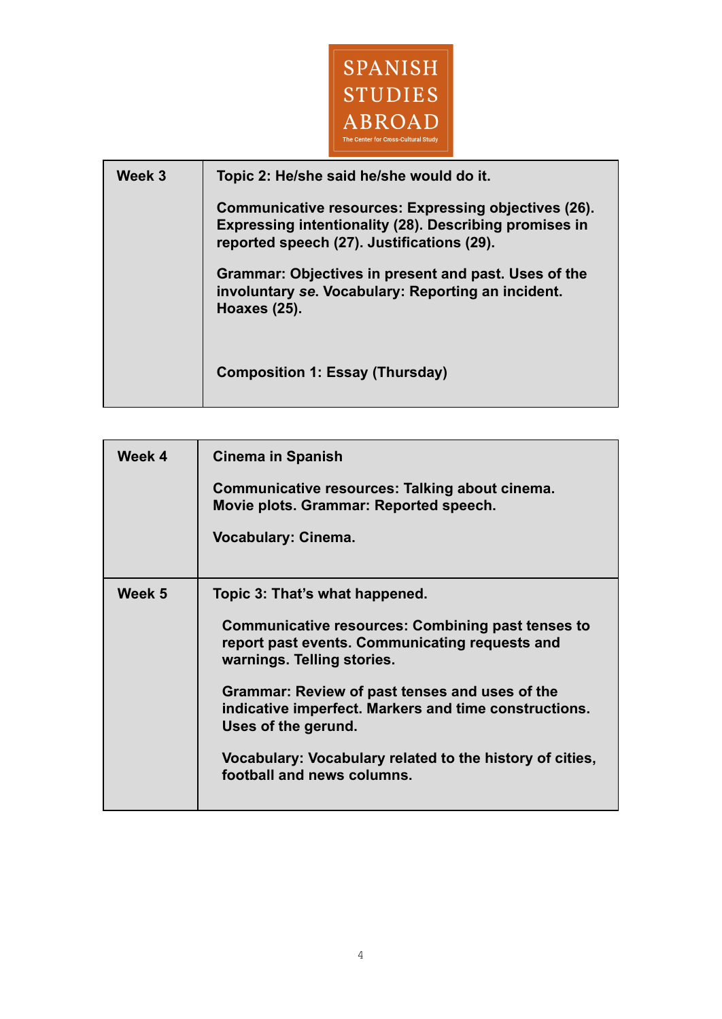

| Week 3 | Topic 2: He/she said he/she would do it.                                                                                                                     |
|--------|--------------------------------------------------------------------------------------------------------------------------------------------------------------|
|        | Communicative resources: Expressing objectives (26).<br>Expressing intentionality (28). Describing promises in<br>reported speech (27). Justifications (29). |
|        | Grammar: Objectives in present and past. Uses of the<br>involuntary se. Vocabulary: Reporting an incident.<br>Hoaxes (25).                                   |
|        | <b>Composition 1: Essay (Thursday)</b>                                                                                                                       |

| Week 4 | <b>Cinema in Spanish</b>                                                                                                                 |
|--------|------------------------------------------------------------------------------------------------------------------------------------------|
|        | Communicative resources: Talking about cinema.<br>Movie plots. Grammar: Reported speech.                                                 |
|        | <b>Vocabulary: Cinema.</b>                                                                                                               |
|        |                                                                                                                                          |
| Week 5 | Topic 3: That's what happened.                                                                                                           |
|        | <b>Communicative resources: Combining past tenses to</b><br>report past events. Communicating requests and<br>warnings. Telling stories. |
|        | Grammar: Review of past tenses and uses of the<br>indicative imperfect. Markers and time constructions.<br>Uses of the gerund.           |
|        | Vocabulary: Vocabulary related to the history of cities,<br>football and news columns.                                                   |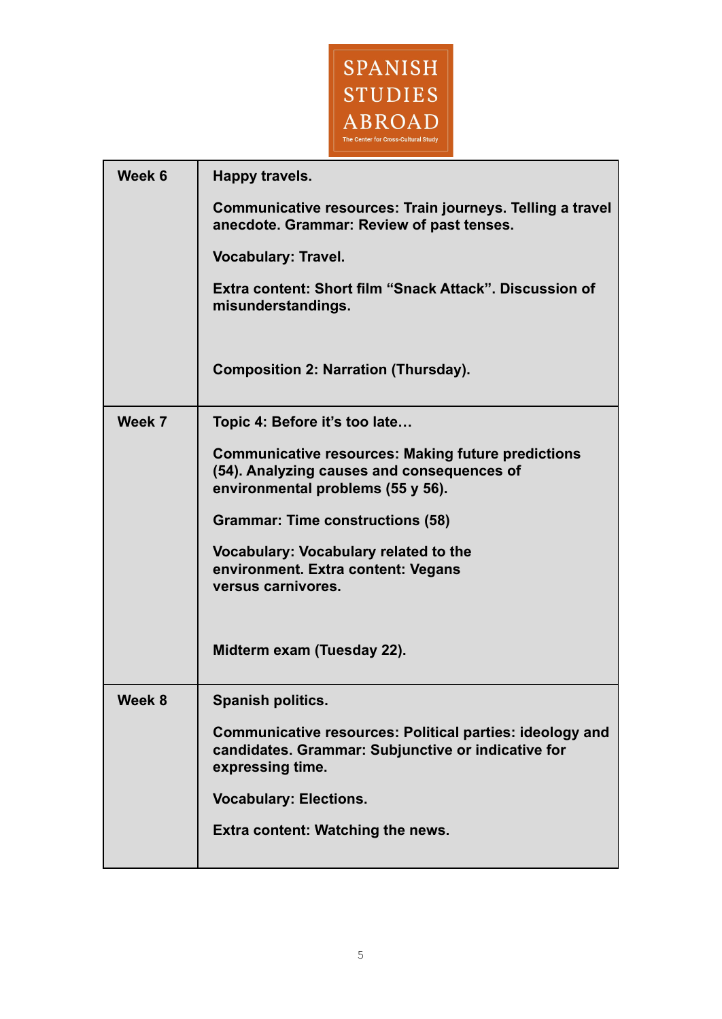

| Week 6 | Happy travels.                                                                                                                               |
|--------|----------------------------------------------------------------------------------------------------------------------------------------------|
|        | Communicative resources: Train journeys. Telling a travel<br>anecdote. Grammar: Review of past tenses.                                       |
|        | <b>Vocabulary: Travel.</b>                                                                                                                   |
|        | Extra content: Short film "Snack Attack". Discussion of<br>misunderstandings.                                                                |
|        | <b>Composition 2: Narration (Thursday).</b>                                                                                                  |
| Week 7 | Topic 4: Before it's too late                                                                                                                |
|        | <b>Communicative resources: Making future predictions</b><br>(54). Analyzing causes and consequences of<br>environmental problems (55 y 56). |
|        | <b>Grammar: Time constructions (58)</b>                                                                                                      |
|        | Vocabulary: Vocabulary related to the<br>environment. Extra content: Vegans<br>versus carnivores.                                            |
|        | Midterm exam (Tuesday 22).                                                                                                                   |
| Week 8 | <b>Spanish politics.</b>                                                                                                                     |
|        | Communicative resources: Political parties: ideology and<br>candidates. Grammar: Subjunctive or indicative for<br>expressing time.           |
|        | <b>Vocabulary: Elections.</b>                                                                                                                |
|        | <b>Extra content: Watching the news.</b>                                                                                                     |